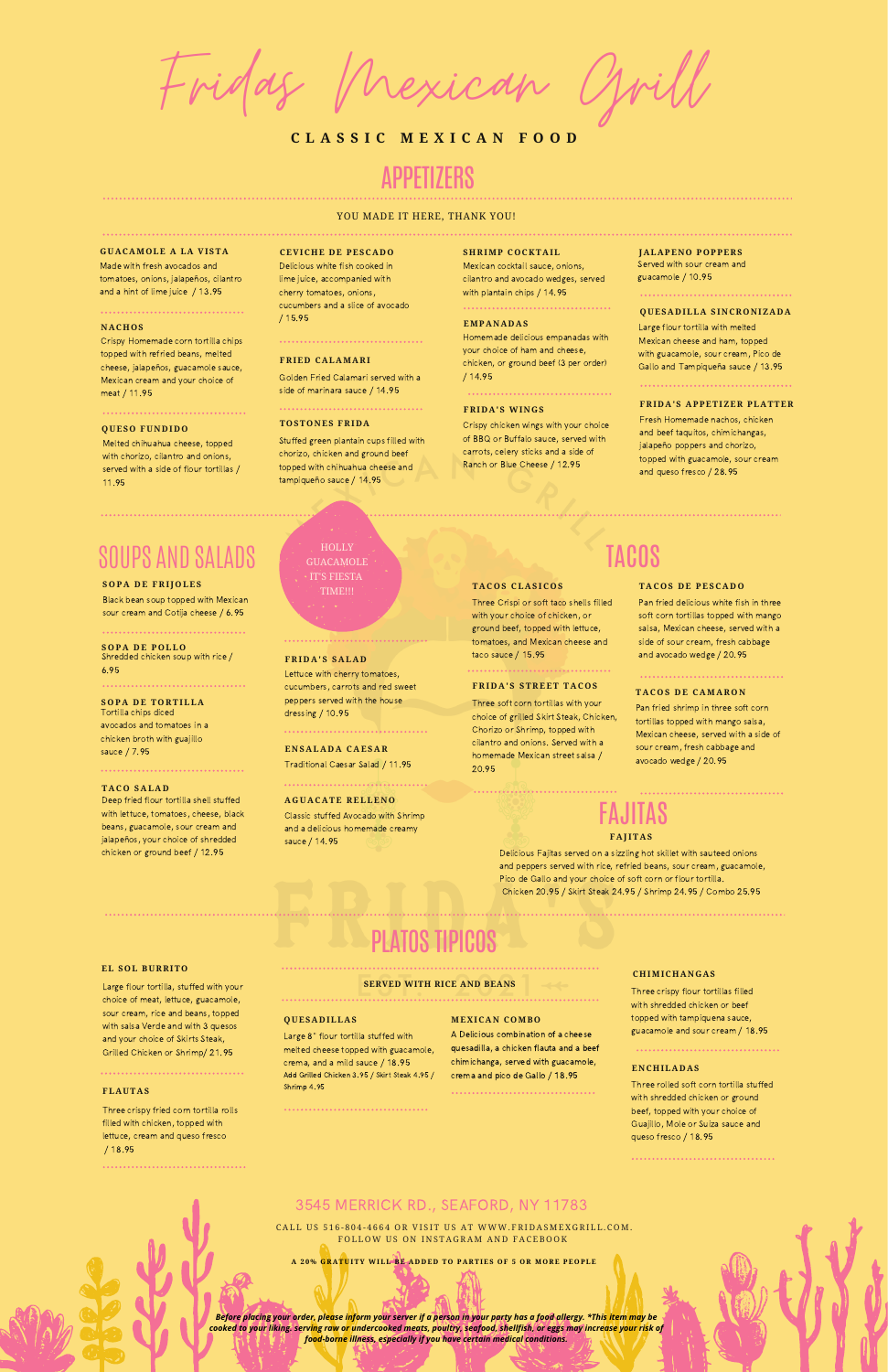Fridas Mexican Grill

## **C L A S S I C M E X I C A N F O O D**

## APPETIZERS

#### YOU MADE IT HERE, THANK YOU!

#### **GUACAMOLE A LA VISTA**

Made with fresh avocados and tomatoes, onions, jalapeños, cilantro and a hint of lime juice / 13.95

#### 

#### **NAC H OS**

Crispy Homemade corn tortilla chips topped with refried beans, melted cheese, jalapeños, guacamole sauce, Mexican cream and your choice of meat / 11.95

## 

Melted chihuahua cheese, topped with chorizo, cilantro and onions. served with a side of flour tortillas / 11.95

#### **QUESO FUNDIDO**

#### **CEVIC H E DE PESCADO**

Delicious white fish cooked in lime juice, accompanied with cherry tomatoes, onions, cucumbers and a slice of avocado / 15.95

> HOLLY<sup>1</sup> **GUACAMOLE** IT'S FIESTA

#### 

#### **FRIED CALAMARI**

Golden Fried Calamari served with a side of marinara sauce / 14.95

#### **TOSTONES FRIDA**

#### **S H RIMP COCKTAIL**

Mexican cocktail sauce, onions, cilantro and avocado wedges, served with plantain chips / 14.95

### 

## **QUESADILLA SINCRONIZADA**

Large flour tortilla with melted Mexican cheese and ham, topped with guacamole, sour cream, Pico de Gallo and Tampiqueña sauce / 13.95

### **FRIDA'S APPETIZER PLATTER**

Fresh Homemade nachos, chicken and beef taquitos, chimichangas, jalapeño poppers and chorizo, topped with guacamole, sour cream and queso fresco / 28.95

Stuffed green plantain cups filled with chorizo, chicken and ground beef topped with chihuahua cheese and tampiqueño sauce / 14.95

#### **JALAPENO POPPERS**

Served with sour cream and guacamole / 10.95

## SOUPS AND SALADS

## **SOPA DE FRIJOLES TIME!!!**

Black bean soup topped with Mexican sour cream and Cotija cheese / 6.95

## **S O P A D E P O LL O**

Shredded chicken soup with rice / 6.95

### **S O P A D E T O R TILL A**

Tortilla chips diced avocados and tomatoes in a chicken broth with guajillo sauce / 7.95

### 

### **T A C O S A L A D**

Deep fried flour tortilla shell stuffed with lettuce, tomatoes, cheese, black beans, guacamole, sour cream and jalapeños, your choice of shredded chicken or ground beef / 12.95

**F R I D A ' S S A L A D** Lettuce with cherry tomatoes, cucumbers, carrots and red sweet peppers served with the house dressing / 10.95

## 

**E N S A L A D A C A ES A R** Traditional Caesar Salad / 11.95

#### 

**A G U A C A TE R ELLE N O** Classic stuffed Avocado with Shrimp and a delicious homemade creamy

sauce / 14.95

## TACOS

**EMPANADAS** Homemade delicious empanadas with your choice of ham and cheese, chicken, or ground beef (3 per order) / 14.95

Three Crispi or soft taco shells filled with your choice of chicken, or ground beef, topped with lettuce, tomatoes, and Mexican cheese and

taco sauce / 15.95

## **F R I D A ' S ST R EET T A C O S**

Three soft corn tortillas with your choice of grilled Skirt Steak, Chicken, Chorizo or Shrimp, topped with cilantro and onions. Served with a homemade Mexican street salsa / 20.95

#### **T A C O S D E C A M A R O N**

Pan fried shrimp in three soft corn tortillas topped with mango salsa, Mexican cheese, served with a side of sour cream, fresh cabbage and avocado wedge / 20.95

#### **T A C O S D E PESC A D O**

Pan fried delicious white fish in three soft corn tortillas topped with mango salsa, Mexican cheese, served with a side of sour cream, fresh cabbage and avocado wedge / 20.95

Delicious Fajitas served on a sizzling hot skillet with sauteed onions and peppers served with rice, refried beans, sour cream, guacamole, Pico de Gallo and your choice of soft corn or flour tortilla. Chicken 20.95 / Skirt Steak 24.95 / Shrimp 24.95 / Combo 25.95

## 3545 MERRICK RD., SEAFORD, NY 11783

## **F A J IT A S** FAJITAS

CALL US 516-804-4664 OR VISIT US AT WWW. FRIDASMEXGRILL.COM. FOLLOW US ON INSTAGRAM AND FACEBOOK

A 20% GRATUITY WILL BE ADDED TO PARTIES OF 5 OR MORE PEOPLE

#### **FRIDA'S WINGS**

 $TACOS CLASICOS$ 

Crispy chicken wings with your choice of BBQ or Buffalo sauce, served with carrots, celery sticks and a side of Ranch or Blue Cheese / 12.95

## PLATOS TIPICOS

**SERVED WITH RICE AND BEANS** 

#### **EL SOL BURRITO**

Large flour tortilla, stuffed with your choice of meat, lettuce, guacamole,

sour cream, rice and beans, topped with salsa Verde and with 3 quesos and your choice of Skirts Steak, Grilled Chicken or Shrimp/ 21.95

#### **FLAUTAS**

Three crispy fried corn tortilla rolls filled with chicken, topped with lettuce, cream and queso fresco / 18.95

Large 8" flour tortilla stuffed with melted cheese topped with guacamole, crema, and a mild sauce / 18.95 Add Grilled Chicken 3.95 / Skirt Steak 4.95 / Shrimp 4.95

#### **C H IMIC H ANGAS**

Three crispy flour tortillas filled with shredded chicken or beef

topped with tampiquena sauce, guacamole and sour cream / 18.95

#### **ENC H ILADAS**

Three rolled soft corn tortilla stuffed with shredded chicken or ground beef, topped with your choice of Guajillo, Mole or Suiza sauce and queso fresco / 18.95

#### **QUESADILLAS**

A Delicious combination of a cheese quesadilla, a chicken flauta and a beef chimichanga, served with guacamole, crema and pico de Gallo / 18.95

#### **MEXICAN COMBO**

*Before placing your order, please inform your server if a person in your party has a food allergy. \*This item may be cooked to your liking. serving raw or undercooked meats, poultry, seafood, shellfish, or eggs may increase your risk of food-borne illness, especially if you have certain medical conditions.*